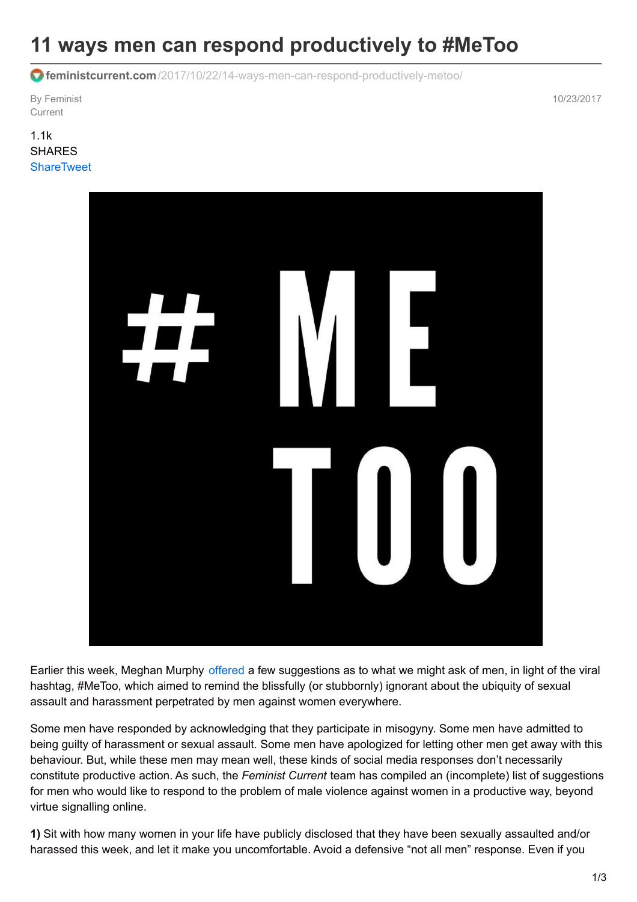## **11 ways men can respond productively to #MeToo**

**feministcurrent.com**[/2017/10/22/14-ways-men-can-respond-productively-metoo/](http://www.feministcurrent.com/2017/10/22/14-ways-men-can-respond-productively-metoo/)

By Feminist **Current** 

10/23/2017

1.1k SHARES **[Share](https://www.facebook.com/sharer.php?u=http%3A%2F%2Fwww.feministcurrent.com%2F2017%2F10%2F22%2F14-ways-men-can-respond-productively-metoo%2F)[Tweet](https://twitter.com/intent/tweet?text=11 ways men can respond productively to %23MeToo&url=http://www.feministcurrent.com/2017/10/22/14-ways-men-can-respond-productively-metoo/&via=FeministCurrent)** 



Earlier this week, Meghan Murphy [offered](http://www.feministcurrent.com/2017/10/16/yes-you-too/) a few suggestions as to what we might ask of men, in light of the viral hashtag, #MeToo, which aimed to remind the blissfully (or stubbornly) ignorant about the ubiquity of sexual assault and harassment perpetrated by men against women everywhere.

Some men have responded by acknowledging that they participate in misogyny. Some men have admitted to being guilty of harassment or sexual assault. Some men have apologized for letting other men get away with this behaviour. But, while these men may mean well, these kinds of social media responses don't necessarily constitute productive action. As such, the *Feminist Current* team has compiled an (incomplete) list of suggestions for men who would like to respond to the problem of male violence against women in a productive way, beyond virtue signalling online.

**1)** Sit with how many women in your life have publicly disclosed that they have been sexually assaulted and/or harassed this week, and let it make you uncomfortable. Avoid a defensive "not all men" response. Even if you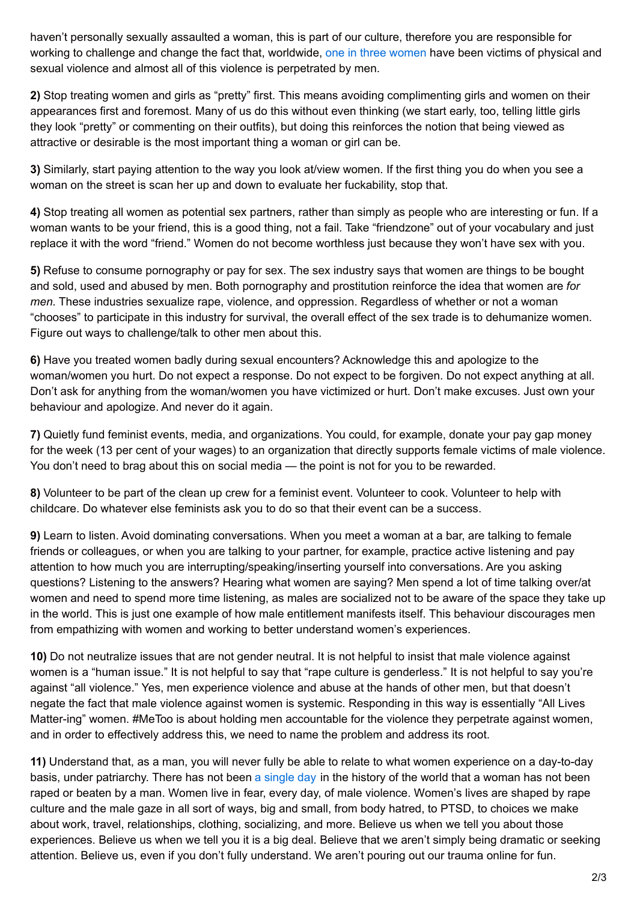haven't personally sexually assaulted a woman, this is part of our culture, therefore you are responsible for working to challenge and change the fact that, worldwide, one in three [women](http://www.who.int/mediacentre/factsheets/fs239/en/) have been victims of physical and sexual violence and almost all of this violence is perpetrated by men.

**2)** Stop treating women and girls as "pretty" first. This means avoiding complimenting girls and women on their appearances first and foremost. Many of us do this without even thinking (we start early, too, telling little girls they look "pretty" or commenting on their outfits), but doing this reinforces the notion that being viewed as attractive or desirable is the most important thing a woman or girl can be.

**3)** Similarly, start paying attention to the way you look at/view women. If the first thing you do when you see a woman on the street is scan her up and down to evaluate her fuckability, stop that.

**4)** Stop treating all women as potential sex partners, rather than simply as people who are interesting or fun. If a woman wants to be your friend, this is a good thing, not a fail. Take "friendzone" out of your vocabulary and just replace it with the word "friend." Women do not become worthless just because they won't have sex with you.

**5)** Refuse to consume pornography or pay for sex. The sex industry says that women are things to be bought and sold, used and abused by men. Both pornography and prostitution reinforce the idea that women are *for men*. These industries sexualize rape, violence, and oppression. Regardless of whether or not a woman "chooses" to participate in this industry for survival, the overall effect of the sex trade is to dehumanize women. Figure out ways to challenge/talk to other men about this.

**6)** Have you treated women badly during sexual encounters? Acknowledge this and apologize to the woman/women you hurt. Do not expect a response. Do not expect to be forgiven. Do not expect anything at all. Don't ask for anything from the woman/women you have victimized or hurt. Don't make excuses. Just own your behaviour and apologize. And never do it again.

**7)** Quietly fund feminist events, media, and organizations. You could, for example, donate your pay gap money for the week (13 per cent of your wages) to an organization that directly supports female victims of male violence. You don't need to brag about this on social media — the point is not for you to be rewarded.

**8)** Volunteer to be part of the clean up crew for a feminist event. Volunteer to cook. Volunteer to help with childcare. Do whatever else feminists ask you to do so that their event can be a success.

**9)** Learn to listen. Avoid dominating conversations. When you meet a woman at a bar, are talking to female friends or colleagues, or when you are talking to your partner, for example, practice active listening and pay attention to how much you are interrupting/speaking/inserting yourself into conversations. Are you asking questions? Listening to the answers? Hearing what women are saying? Men spend a lot of time talking over/at women and need to spend more time listening, as males are socialized not to be aware of the space they take up in the world. This is just one example of how male entitlement manifests itself. This behaviour discourages men from empathizing with women and working to better understand women's experiences.

**10)** Do not neutralize issues that are not gender neutral. It is not helpful to insist that male violence against women is a "human issue." It is not helpful to say that "rape culture is genderless." It is not helpful to say you're against "all violence." Yes, men experience violence and abuse at the hands of other men, but that doesn't negate the fact that male violence against women is systemic. Responding in this way is essentially "All Lives Matter-ing" women. #MeToo is about holding men accountable for the violence they perpetrate against women, and in order to effectively address this, we need to name the problem and address its root.

**11)** Understand that, as a man, you will never fully be able to relate to what women experience on a day-to-day basis, under patriarchy. There has not been a [single](http://www.nostatusquo.com/ACLU/dworkin/WarZoneChaptIIIE.html) day in the history of the world that a woman has not been raped or beaten by a man. Women live in fear, every day, of male violence. Women's lives are shaped by rape culture and the male gaze in all sort of ways, big and small, from body hatred, to PTSD, to choices we make about work, travel, relationships, clothing, socializing, and more. Believe us when we tell you about those experiences. Believe us when we tell you it is a big deal. Believe that we aren't simply being dramatic or seeking attention. Believe us, even if you don't fully understand. We aren't pouring out our trauma online for fun.